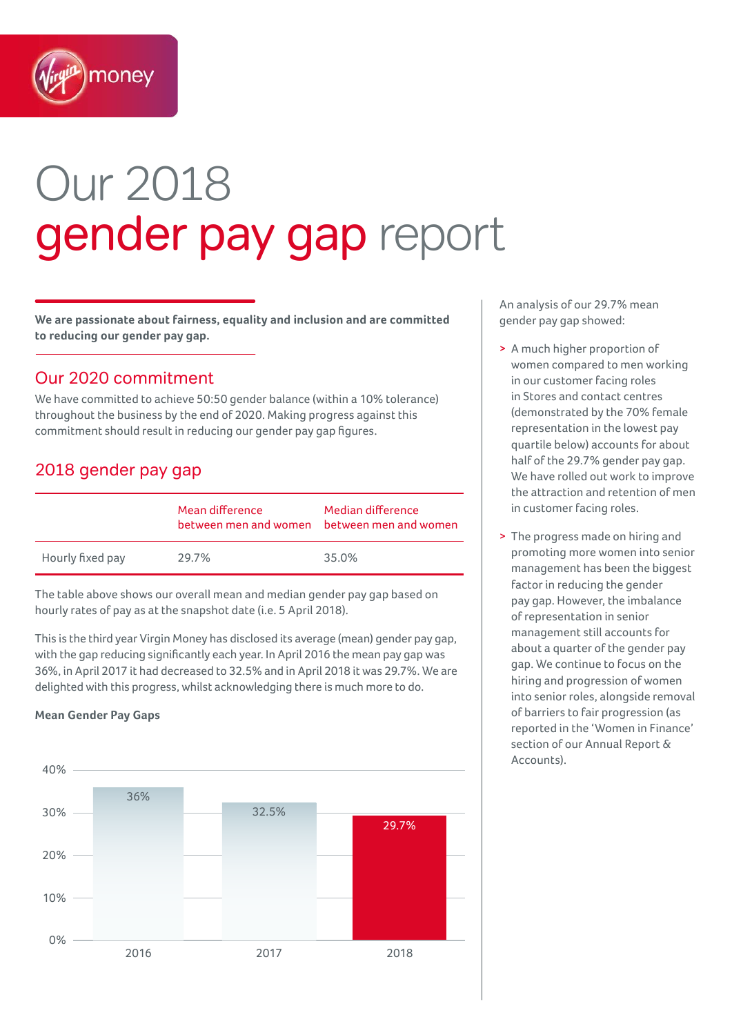

# Our 2018 gender pay gap report

**We are passionate about fairness, equality and inclusion and are committed to reducing our gender pay gap.** 

## Our 2020 commitment

We have committed to achieve 50:50 gender balance (within a 10% tolerance) throughout the business by the end of 2020. Making progress against this commitment should result in reducing our gender pay gap figures.

## 2018 gender pay gap

|                  | Mean difference<br>between men and women | Median difference<br>between men and women |
|------------------|------------------------------------------|--------------------------------------------|
| Hourly fixed pay | 29.7%                                    | 35.0%                                      |

The table above shows our overall mean and median gender pay gap based on hourly rates of pay as at the snapshot date (i.e. 5 April 2018).

This is the third year Virgin Money has disclosed its average (mean) gender pay gap, with the gap reducing significantly each year. In April 2016 the mean pay gap was 36%, in April 2017 it had decreased to 32.5% and in April 2018 it was 29.7%. We are delighted with this progress, whilst acknowledging there is much more to do.

#### **Mean Gender Pay Gaps**



An analysis of our 29.7% mean gender pay gap showed:

- > A much higher proportion of women compared to men working in our customer facing roles in Stores and contact centres (demonstrated by the 70% female representation in the lowest pay quartile below) accounts for about half of the 29.7% gender pay gap. We have rolled out work to improve the attraction and retention of men in customer facing roles.
- > The progress made on hiring and promoting more women into senior management has been the biggest factor in reducing the gender pay gap. However, the imbalance of representation in senior management still accounts for about a quarter of the gender pay gap. We continue to focus on the hiring and progression of women into senior roles, alongside removal of barriers to fair progression (as reported in the 'Women in Finance' section of our Annual Report & Accounts).